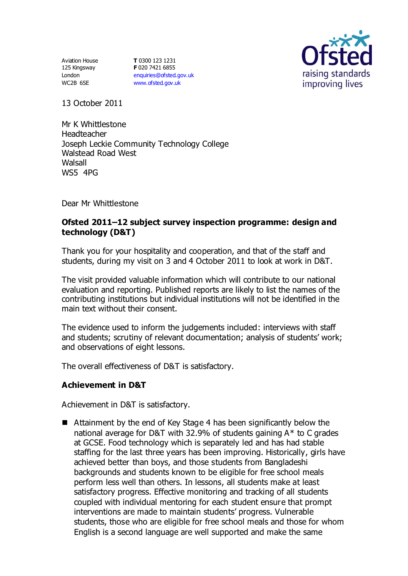Aviation House 125 Kingsway London WC2B 6SE

**T** 0300 123 1231 **F** 020 7421 6855 [enquiries@ofsted.gov.uk](mailto:enquiries@ofsted.gov.uk) [www.ofsted.gov.uk](http://www.ofsted.gov.uk/)



13 October 2011

Mr K Whittlestone Headteacher Joseph Leckie Community Technology College Walstead Road West **Walsall** WS5 4PG

Dear Mr Whittlestone

## **Ofsted 2011–12 subject survey inspection programme: design and technology (D&T)**

Thank you for your hospitality and cooperation, and that of the staff and students, during my visit on 3 and 4 October 2011 to look at work in D&T.

The visit provided valuable information which will contribute to our national evaluation and reporting. Published reports are likely to list the names of the contributing institutions but individual institutions will not be identified in the main text without their consent.

The evidence used to inform the judgements included: interviews with staff and students; scrutiny of relevant documentation; analysis of students' work; and observations of eight lessons.

The overall effectiveness of D&T is satisfactory.

## **Achievement in D&T**

Achievement in D&T is satisfactory.

■ Attainment by the end of Key Stage 4 has been significantly below the national average for D&T with 32.9% of students gaining A\* to C grades at GCSE. Food technology which is separately led and has had stable staffing for the last three years has been improving. Historically, girls have achieved better than boys, and those students from Bangladeshi backgrounds and students known to be eligible for free school meals perform less well than others. In lessons, all students make at least satisfactory progress. Effective monitoring and tracking of all students coupled with individual mentoring for each student ensure that prompt interventions are made to maintain students' progress. Vulnerable students, those who are eligible for free school meals and those for whom English is a second language are well supported and make the same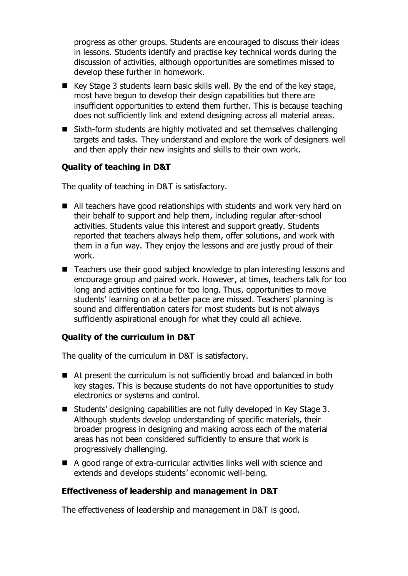progress as other groups. Students are encouraged to discuss their ideas in lessons. Students identify and practise key technical words during the discussion of activities, although opportunities are sometimes missed to develop these further in homework.

- Key Stage 3 students learn basic skills well. By the end of the key stage, most have begun to develop their design capabilities but there are insufficient opportunities to extend them further. This is because teaching does not sufficiently link and extend designing across all material areas.
- Sixth-form students are highly motivated and set themselves challenging targets and tasks. They understand and explore the work of designers well and then apply their new insights and skills to their own work.

# **Quality of teaching in D&T**

The quality of teaching in D&T is satisfactory.

- All teachers have good relationships with students and work very hard on their behalf to support and help them, including regular after-school activities. Students value this interest and support greatly. Students reported that teachers always help them, offer solutions, and work with them in a fun way. They enjoy the lessons and are justly proud of their work.
- Teachers use their good subject knowledge to plan interesting lessons and encourage group and paired work. However, at times, teachers talk for too long and activities continue for too long. Thus, opportunities to move students' learning on at a better pace are missed. Teachers' planning is sound and differentiation caters for most students but is not always sufficiently aspirational enough for what they could all achieve.

## **Quality of the curriculum in D&T**

The quality of the curriculum in D&T is satisfactory.

- At present the curriculum is not sufficiently broad and balanced in both key stages. This is because students do not have opportunities to study electronics or systems and control.
- Students' designing capabilities are not fully developed in Key Stage 3. Although students develop understanding of specific materials, their broader progress in designing and making across each of the material areas has not been considered sufficiently to ensure that work is progressively challenging.
- A good range of extra-curricular activities links well with science and extends and develops students' economic well-being.

## **Effectiveness of leadership and management in D&T**

The effectiveness of leadership and management in D&T is good.